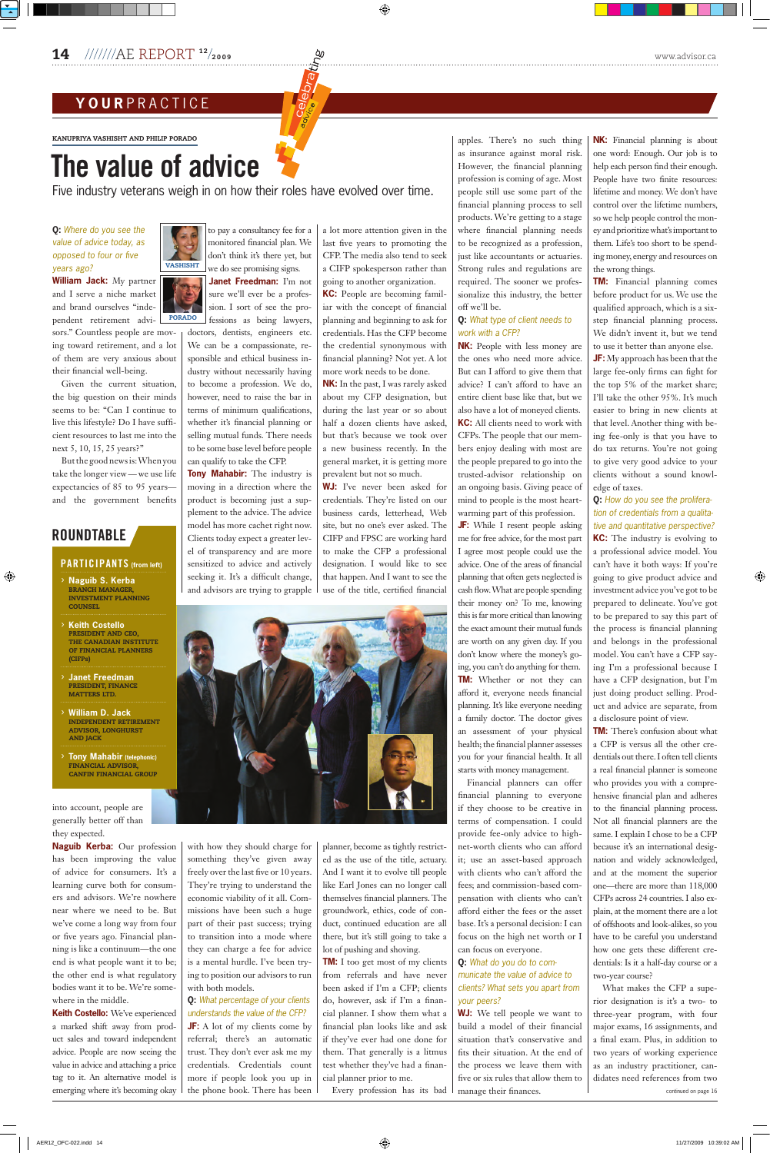**Q:** *Where do you see the value of advice today, as opposed to four or five years ago?*

**William Jack:** My partner and I serve a niche market and brand ourselves "independent retirement advi-

sors." Countless people are moving toward retirement, and a lot of them are very anxious about their financial well-being.

Given the current situation, the big question on their minds seems to be: "Can I continue to live this lifestyle? Do I have sufficient resources to last me into the next 5, 10, 15, 25 years?"

Butthe goodnewsis:Whenyou take the longer view—we use life expectancies of 85 to 95 years and the government benefits

## **ROUNDTABLE**

#### **PARTICIPANTS** (from left)

into account, people are generally better off than they expected.

to pay a consultancy fee for a monitored financial plan. We don't think it's there yet, but we do see promising signs. **VASHISHT** 

has been improving the value of advice for consumers. It's a learning curve both for consumers and advisors. We're nowhere near where we need to be. But we've come a long way from four or five years ago. Financial planning is like a continuum—the one end is what people want it to be; the other end is what regulatory bodies want it to be. We're somewhere in the middle. **Keith Costello:** We've experienced a marked shift away from product sales and toward independent advice. People are now seeing the value in advice and attaching a price tag to it. An alternative model is emerging where it's becoming okay

**Naguib Kerba:** Our profession with how they should charge for planner, become as tightly restrictsomething they've given away freely over the last five or 10 years. They're trying to understand the economic viability of it all. Commissions have been such a huge part of their past success; trying to transition into a mode where they can charge a fee for advice is a mental hurdle. I've been trying to position our advisors to run with both models. **Q:** *What percentage of your clients understands the value of the CFP?* **JF:** A lot of my clients come by referral; there's an automatic trust. They don't ever ask me my credentials. Credentials count more if people look you up in the phone book. There has been

**Janet Freedman:** I'm not sure we'll ever be a profession. I sort of see the professions as being lawyers,

doctors, dentists, engineers etc. We can be a compassionate, responsible and ethical business industry without necessarily having to become a profession. We do, however, need to raise the bar in terms of minimum qualifications, whether it's financial planning or selling mutual funds. There needs to be some base level before people can qualify to take the CFP.

**Tony Mahabir:** The industry is moving in a direction where the product is becoming just a supplement to the advice. The advice model has more cachet right now. Clients today expect a greater level of transparency and are more sensitized to advice and actively seeking it. It's a difficult change, and advisors are trying to grapple a lot more attention given in the last five years to promoting the CFP. The media also tend to seek a CIFP spokesperson rather than going to another organization.

**KC:** People are becoming familiar with the concept of financial planning and beginning to ask for credentials. Has the CFP become the credential synonymous with financial planning? Not yet. A lot more work needs to be done.

**NK:** In the past, I was rarely asked about my CFP designation, but during the last year or so about half a dozen clients have asked, but that's because we took over a new business recently. In the general market, it is getting more prevalent but not so much.

**WJ:** I've never been asked for credentials. They're listed on our business cards, letterhead, Web site, but no one's ever asked. The CIFP and FPSC are working hard to make the CFP a professional designation. I would like to see that happen. And I want to see the use of the title, certified financial



**JF:** My approach has been that the large fee-only firms can fight for the top 5% of the market share; I'll take the other 95%. It's much easier to bring in new clients at that level. Another thing with being fee-only is that you have to do tax returns. You're not going to give very good advice to your clients without a sound knowledge of taxes.

ed as the use of the title, actuary. And I want it to evolve till people like Earl Jones can no longer call themselves financial planners. The groundwork, ethics, code of conduct, continued education are all there, but it's still going to take a lot of pushing and shoving. **TM:** I too get most of my clients from referrals and have never been asked if I'm a CFP; clients do, however, ask if I'm a financial planner. I show them what a financial plan looks like and ask if they've ever had one done for them. That generally is a litmus test whether they've had a financial planner prior to me. Every profession has its bad apples. There's no such thing as insurance against moral risk. However, the financial planning profession is coming of age. Most people still use some part of the financial planning process to sell products. We're getting to a stage where financial planning needs to be recognized as a profession, just like accountants or actuaries. Strong rules and regulations are required. The sooner we professionalize this industry, the better off we'll be.

- › **Naguib S. Kerba** branch manager, INVESTMENT PLANNING **COUNSEL**
- › **Keith Costello** PRESIDENT AND CEO, **THE CANADIAN INSTITUTE** OF FINANCIAL PLANNERS (CIFPs)
- › **Janet Freedman** president, finance **MATTERS LTD.**
- › **William D. Jack** ndependent retirement **ADVISOR, LONGHURST AND JACK**
- › **Tony Mahabir (telephonic) FINANCIAL ADVISOR CANFIN FINANCIAL GROUP**

#### **Q:** *What type of client needs to work with a CFP?*

**NK:** People with less money are the ones who need more advice. But can I afford to give them that advice? I can't afford to have an entire client base like that, but we also have a lot of moneyed clients. **KC:** All clients need to work with CFPs. The people that our members enjoy dealing with most are the people prepared to go into the trusted-advisor relationship on an ongoing basis. Giving peace of mind to people is the most heart-

warming part of this profession. **JF:** While I resent people asking me for free advice, for the most part I agree most people could use the advice. One of the areas of financial planning that often gets neglected is cash flow.What are people spending their money on? To me, knowing this is far more critical than knowing the exact amount their mutual funds are worth on any given day. If you don't know where the money's going, you can't do anything for them. **TM:** Whether or not they can afford it, everyone needs financial planning. It's like everyone needing a family doctor. The doctor gives an assessment of your physical health; the financial planner assesses you for your financial health. It all starts with money management.

Financial planners can offer financial planning to everyone if they choose to be creative in terms of compensation. I could provide fee-only advice to highnet-worth clients who can afford it; use an asset-based approach with clients who can't afford the fees; and commission-based compensation with clients who can't afford either the fees or the asset base. It's a personal decision: I can focus on the high net worth or I can focus on everyone. **Q:** *What do you do to communicate the value of advice to clients? What sets you apart from your peers?* **WJ:** We tell people we want to build a model of their financial situation that's conservative and fits their situation. At the end of the process we leave them with five or six rules that allow them to manage their finances.

**NK:** Financial planning is about one word: Enough. Our job is to help each person find their enough. People have two finite resources: lifetime and money. We don't have control over the lifetime numbers, so we help people control the money and prioritize what's important to them. Life's too short to be spending money, energy and resources on the wrong things.

**TM:** Financial planning comes before product for us. We use the qualified approach, which is a sixstep financial planning process. We didn't invent it, but we tend to use it better than anyone else.

#### **Q:** *How do you see the proliferation of credentials from a qualitative and quantitative perspective?*

**KC:** The industry is evolving to a professional advice model. You can't have it both ways: If you're going to give product advice and investment advice you've got to be prepared to delineate. You've got to be prepared to say this part of the process is financial planning and belongs in the professional model. You can't have a CFP saying I'm a professional because I have a CFP designation, but I'm just doing product selling. Product and advice are separate, from a disclosure point of view.

**TM:** There's confusion about what a CFP is versus all the other credentials out there.I often tell clients a real financial planner is someone who provides you with a comprehensive financial plan and adheres to the financial planning process. Not all financial planners are the same. I explain I chose to be a CFP because it's an international designation and widely acknowledged, and at the moment the superior one—there are more than 118,000 CFPs across 24 countries.I also explain, at the moment there are a lot of offshoots and look-alikes, so you have to be careful you understand how one gets these different credentials: Is it a half-day course or a two-year course? What makes the CFP a superior designation is it's a two- to three-year program, with four major exams, 16 assignments, and a final exam. Plus, in addition to two years of working experience as an industry practitioner, candidates need references from two continued on page 16

2009 www.advisor.ca $\frac{QU}{Q}$ 

. . . . . . . . . . . . . . . .

## **y o u r** p r a c t i c e

KANUPRIYA VASHISHT AND PHILIP PORADO

# The value of advice

**PORADO** 

Five industry veterans weigh in on how their roles have evolved over time.